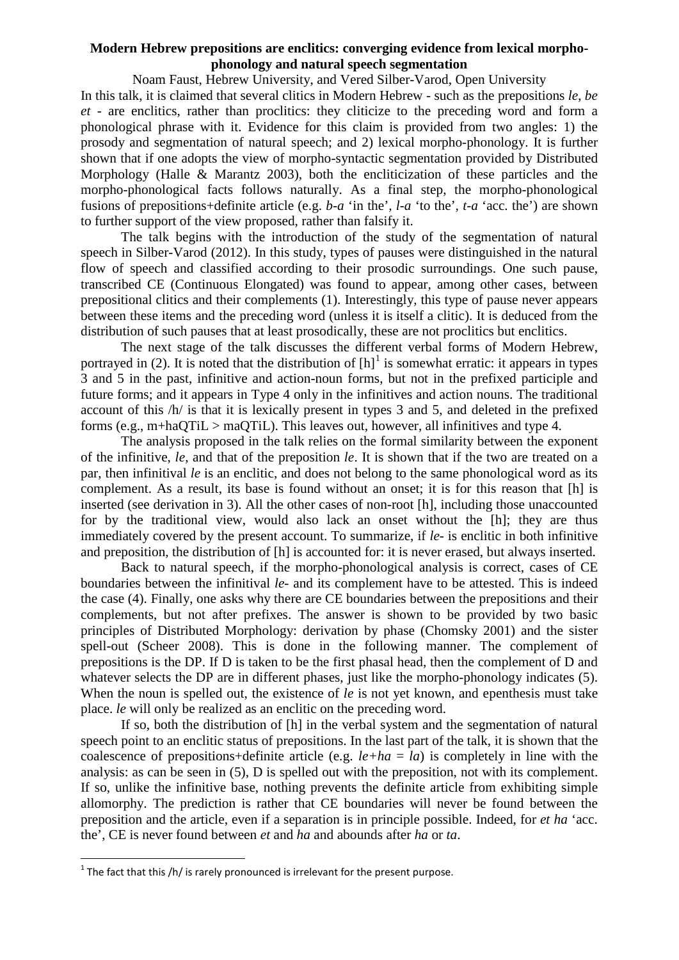## **Modern Hebrew prepositions are enclitics: converging evidence from lexical morphophonology and natural speech segmentation**

Noam Faust, Hebrew University, and Vered Silber-Varod, Open University In this talk, it is claimed that several clitics in Modern Hebrew - such as the prepositions *le*, *be et -* are enclitics, rather than proclitics: they cliticize to the preceding word and form a phonological phrase with it. Evidence for this claim is provided from two angles: 1) the prosody and segmentation of natural speech; and 2) lexical morpho-phonology. It is further shown that if one adopts the view of morpho-syntactic segmentation provided by Distributed Morphology (Halle & Marantz 2003), both the encliticization of these particles and the morpho-phonological facts follows naturally. As a final step, the morpho-phonological fusions of prepositions+definite article (e.g. *b-a* 'in the'*, l-a* 'to the'*, t-a* 'acc. the') are shown to further support of the view proposed, rather than falsify it.

The talk begins with the introduction of the study of the segmentation of natural speech in Silber-Varod (2012). In this study, types of pauses were distinguished in the natural flow of speech and classified according to their prosodic surroundings. One such pause, transcribed CE (Continuous Elongated) was found to appear, among other cases, between prepositional clitics and their complements (1). Interestingly, this type of pause never appears between these items and the preceding word (unless it is itself a clitic). It is deduced from the distribution of such pauses that at least prosodically, these are not proclitics but enclitics.

The next stage of the talk discusses the different verbal forms of Modern Hebrew, portrayed in (2). It is noted that the distribution of  $[h]$ <sup>[1](#page-0-0)</sup> is somewhat erratic: it appears in types 3 and 5 in the past, infinitive and action-noun forms, but not in the prefixed participle and future forms; and it appears in Type 4 only in the infinitives and action nouns. The traditional account of this /h/ is that it is lexically present in types 3 and 5, and deleted in the prefixed forms (e.g.,  $m+haQTiL > maQTiL$ ). This leaves out, however, all infinitives and type 4.

The analysis proposed in the talk relies on the formal similarity between the exponent of the infinitive, *le*, and that of the preposition *le*. It is shown that if the two are treated on a par, then infinitival *le* is an enclitic, and does not belong to the same phonological word as its complement. As a result, its base is found without an onset; it is for this reason that [h] is inserted (see derivation in 3). All the other cases of non-root [h], including those unaccounted for by the traditional view, would also lack an onset without the [h]; they are thus immediately covered by the present account. To summarize, if *le-* is enclitic in both infinitive and preposition, the distribution of [h] is accounted for: it is never erased, but always inserted.

Back to natural speech, if the morpho-phonological analysis is correct, cases of CE boundaries between the infinitival *le-* and its complement have to be attested. This is indeed the case (4). Finally, one asks why there are CE boundaries between the prepositions and their complements, but not after prefixes. The answer is shown to be provided by two basic principles of Distributed Morphology: derivation by phase (Chomsky 2001) and the sister spell-out (Scheer 2008). This is done in the following manner. The complement of prepositions is the DP. If D is taken to be the first phasal head, then the complement of D and whatever selects the DP are in different phases, just like the morpho-phonology indicates (5). When the noun is spelled out, the existence of *le* is not yet known, and epenthesis must take place. *le* will only be realized as an enclitic on the preceding word.

If so, both the distribution of [h] in the verbal system and the segmentation of natural speech point to an enclitic status of prepositions. In the last part of the talk, it is shown that the coalescence of prepositions+definite article (e.g.  $le + ha = la$ ) is completely in line with the analysis: as can be seen in (5), D is spelled out with the preposition, not with its complement. If so, unlike the infinitive base, nothing prevents the definite article from exhibiting simple allomorphy. The prediction is rather that CE boundaries will never be found between the preposition and the article, even if a separation is in principle possible. Indeed, for *et ha* 'acc. the', CE is never found between *et* and *ha* and abounds after *ha* or *ta*.

<span id="page-0-1"></span><span id="page-0-0"></span> $1$  The fact that this /h/ is rarely pronounced is irrelevant for the present purpose.